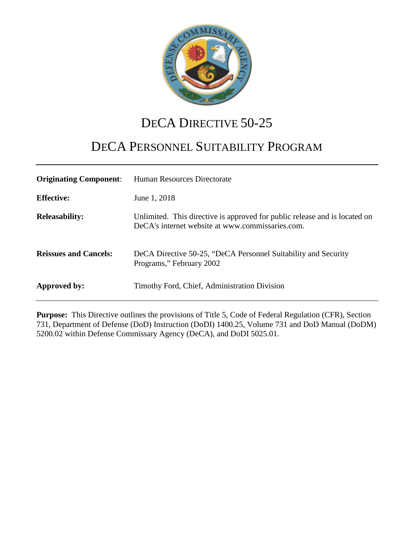

# DECA DIRECTIVE 50-25

# DECA PERSONNEL SUITABILITY PROGRAM

| <b>Originating Component:</b> | Human Resources Directorate                                                                                                    |
|-------------------------------|--------------------------------------------------------------------------------------------------------------------------------|
| <b>Effective:</b>             | June 1, 2018                                                                                                                   |
| <b>Releasability:</b>         | Unlimited. This directive is approved for public release and is located on<br>DeCA's internet website at www.commissaries.com. |
| <b>Reissues and Cancels:</b>  | DeCA Directive 50-25, "DeCA Personnel Suitability and Security<br>Programs," February 2002                                     |
| Approved by:                  | Timothy Ford, Chief, Administration Division                                                                                   |

**Purpose:** This Directive outlines the provisions of Title 5, Code of Federal Regulation (CFR), Section 731, Department of Defense (DoD) Instruction (DoDI) 1400.25, Volume 731 and DoD Manual (DoDM) 5200.02 within Defense Commissary Agency (DeCA), and DoDI 5025.01.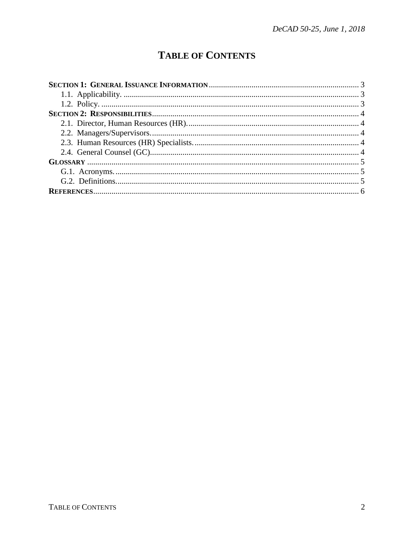## **TABLE OF CONTENTS**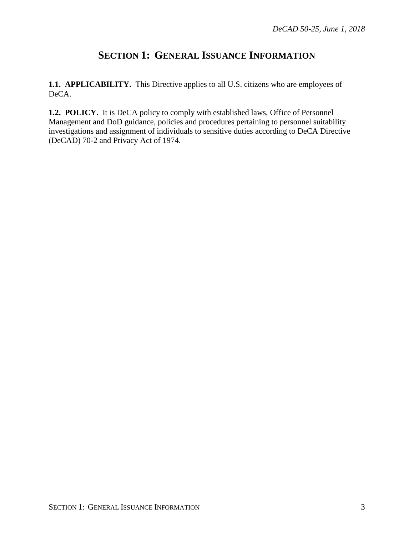## **SECTION 1: GENERAL ISSUANCE INFORMATION**

<span id="page-2-1"></span><span id="page-2-0"></span>**1.1. APPLICABILITY.** This Directive applies to all U.S. citizens who are employees of DeCA.

<span id="page-2-2"></span>**1.2. POLICY.** It is DeCA policy to comply with established laws, Office of Personnel Management and DoD guidance, policies and procedures pertaining to personnel suitability investigations and assignment of individuals to sensitive duties according to DeCA Directive (DeCAD) 70-2 and Privacy Act of 1974.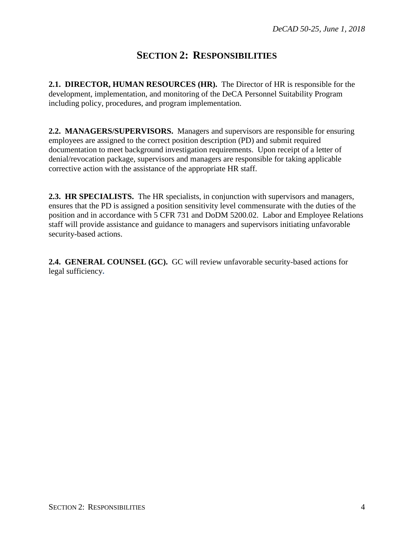## **SECTION 2: RESPONSIBILITIES**

<span id="page-3-1"></span><span id="page-3-0"></span>**2.1. DIRECTOR, HUMAN RESOURCES (HR).** The Director of HR is responsible for the development, implementation, and monitoring of the DeCA Personnel Suitability Program including policy, procedures, and program implementation.

<span id="page-3-2"></span>**2.2. MANAGERS/SUPERVISORS.** Managers and supervisors are responsible for ensuring employees are assigned to the correct position description (PD) and submit required documentation to meet background investigation requirements. Upon receipt of a letter of denial/revocation package, supervisors and managers are responsible for taking applicable corrective action with the assistance of the appropriate HR staff.

<span id="page-3-3"></span>**2.3. HR SPECIALISTS.** The HR specialists, in conjunction with supervisors and managers, ensures that the PD is assigned a position sensitivity level commensurate with the duties of the position and in accordance with 5 CFR 731 and DoDM 5200.02. Labor and Employee Relations staff will provide assistance and guidance to managers and supervisors initiating unfavorable security-based actions.

<span id="page-3-4"></span>**2.4. GENERAL COUNSEL (GC).** GC will review unfavorable security-based actions for legal sufficiency**.**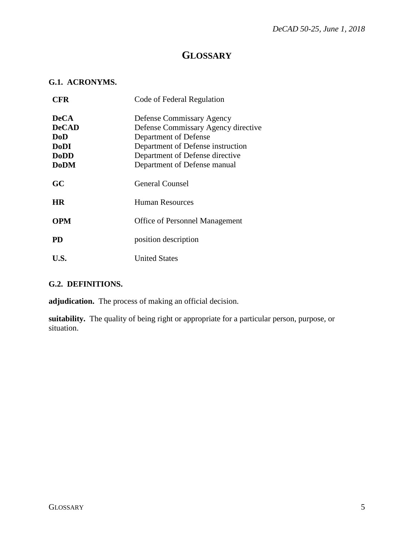### **GLOSSARY**

#### <span id="page-4-1"></span><span id="page-4-0"></span>**G.1. ACRONYMS.**

| CFR          | Code of Federal Regulation            |
|--------------|---------------------------------------|
| <b>DeCA</b>  | Defense Commissary Agency             |
| <b>DeCAD</b> | Defense Commissary Agency directive   |
| DoD          | Department of Defense                 |
| <b>DoDI</b>  | Department of Defense instruction     |
| <b>DoDD</b>  | Department of Defense directive       |
| <b>DoDM</b>  | Department of Defense manual          |
| GC           | <b>General Counsel</b>                |
| <b>HR</b>    | Human Resources                       |
| <b>OPM</b>   | <b>Office of Personnel Management</b> |
| <b>PD</b>    | position description                  |
| U.S.         | <b>United States</b>                  |

#### <span id="page-4-2"></span>**G.2. DEFINITIONS.**

**adjudication.** The process of making an official decision.

**suitability.** The quality of being right or appropriate for a particular person, purpose, or situation.